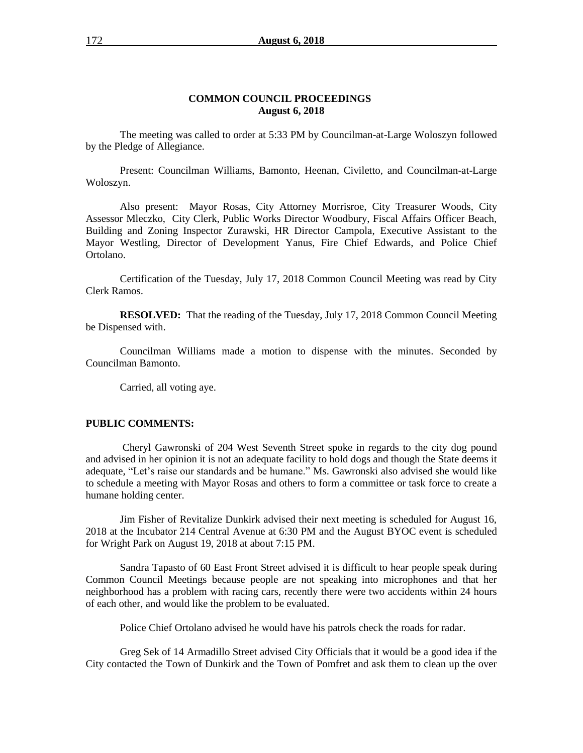#### **COMMON COUNCIL PROCEEDINGS August 6, 2018**

The meeting was called to order at 5:33 PM by Councilman-at-Large Woloszyn followed by the Pledge of Allegiance.

Present: Councilman Williams, Bamonto, Heenan, Civiletto, and Councilman-at-Large Woloszyn.

Also present: Mayor Rosas, City Attorney Morrisroe, City Treasurer Woods, City Assessor Mleczko, City Clerk, Public Works Director Woodbury, Fiscal Affairs Officer Beach, Building and Zoning Inspector Zurawski, HR Director Campola, Executive Assistant to the Mayor Westling, Director of Development Yanus, Fire Chief Edwards, and Police Chief Ortolano.

Certification of the Tuesday, July 17, 2018 Common Council Meeting was read by City Clerk Ramos.

**RESOLVED:** That the reading of the Tuesday, July 17, 2018 Common Council Meeting be Dispensed with.

Councilman Williams made a motion to dispense with the minutes. Seconded by Councilman Bamonto.

Carried, all voting aye.

#### **PUBLIC COMMENTS:**

Cheryl Gawronski of 204 West Seventh Street spoke in regards to the city dog pound and advised in her opinion it is not an adequate facility to hold dogs and though the State deems it adequate, "Let's raise our standards and be humane." Ms. Gawronski also advised she would like to schedule a meeting with Mayor Rosas and others to form a committee or task force to create a humane holding center.

Jim Fisher of Revitalize Dunkirk advised their next meeting is scheduled for August 16, 2018 at the Incubator 214 Central Avenue at 6:30 PM and the August BYOC event is scheduled for Wright Park on August 19, 2018 at about 7:15 PM.

Sandra Tapasto of 60 East Front Street advised it is difficult to hear people speak during Common Council Meetings because people are not speaking into microphones and that her neighborhood has a problem with racing cars, recently there were two accidents within 24 hours of each other, and would like the problem to be evaluated.

Police Chief Ortolano advised he would have his patrols check the roads for radar.

Greg Sek of 14 Armadillo Street advised City Officials that it would be a good idea if the City contacted the Town of Dunkirk and the Town of Pomfret and ask them to clean up the over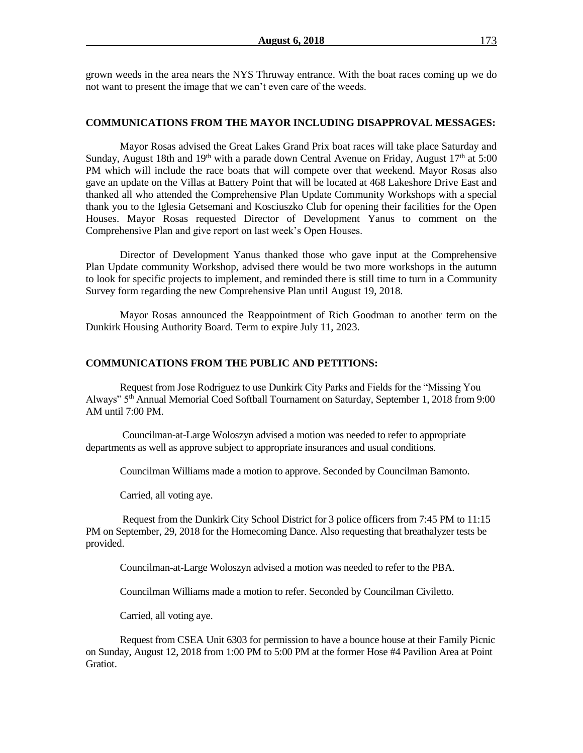grown weeds in the area nears the NYS Thruway entrance. With the boat races coming up we do not want to present the image that we can't even care of the weeds.

#### **COMMUNICATIONS FROM THE MAYOR INCLUDING DISAPPROVAL MESSAGES:**

Mayor Rosas advised the Great Lakes Grand Prix boat races will take place Saturday and Sunday, August 18th and 19<sup>th</sup> with a parade down Central Avenue on Friday, August 17<sup>th</sup> at 5:00 PM which will include the race boats that will compete over that weekend. Mayor Rosas also gave an update on the Villas at Battery Point that will be located at 468 Lakeshore Drive East and thanked all who attended the Comprehensive Plan Update Community Workshops with a special thank you to the Iglesia Getsemani and Kosciuszko Club for opening their facilities for the Open Houses. Mayor Rosas requested Director of Development Yanus to comment on the Comprehensive Plan and give report on last week's Open Houses.

Director of Development Yanus thanked those who gave input at the Comprehensive Plan Update community Workshop, advised there would be two more workshops in the autumn to look for specific projects to implement, and reminded there is still time to turn in a Community Survey form regarding the new Comprehensive Plan until August 19, 2018.

Mayor Rosas announced the Reappointment of Rich Goodman to another term on the Dunkirk Housing Authority Board. Term to expire July 11, 2023.

#### **COMMUNICATIONS FROM THE PUBLIC AND PETITIONS:**

Request from Jose Rodriguez to use Dunkirk City Parks and Fields for the "Missing You Always" 5th Annual Memorial Coed Softball Tournament on Saturday, September 1, 2018 from 9:00 AM until 7:00 PM.

Councilman-at-Large Woloszyn advised a motion was needed to refer to appropriate departments as well as approve subject to appropriate insurances and usual conditions.

Councilman Williams made a motion to approve. Seconded by Councilman Bamonto.

Carried, all voting aye.

Request from the Dunkirk City School District for 3 police officers from 7:45 PM to 11:15 PM on September, 29, 2018 for the Homecoming Dance. Also requesting that breathalyzer tests be provided.

Councilman-at-Large Woloszyn advised a motion was needed to refer to the PBA.

Councilman Williams made a motion to refer. Seconded by Councilman Civiletto.

Carried, all voting aye.

Request from CSEA Unit 6303 for permission to have a bounce house at their Family Picnic on Sunday, August 12, 2018 from 1:00 PM to 5:00 PM at the former Hose #4 Pavilion Area at Point Gratiot.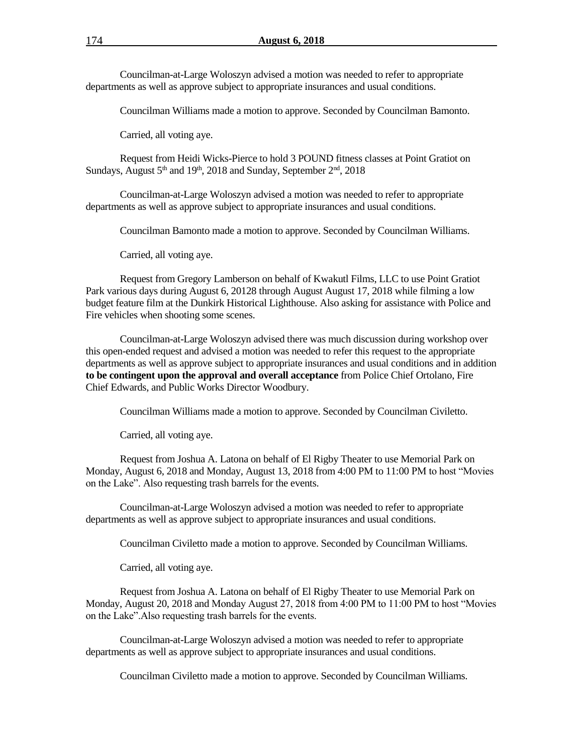Councilman-at-Large Woloszyn advised a motion was needed to refer to appropriate departments as well as approve subject to appropriate insurances and usual conditions.

Councilman Williams made a motion to approve. Seconded by Councilman Bamonto.

Carried, all voting aye.

Request from Heidi Wicks-Pierce to hold 3 POUND fitness classes at Point Gratiot on Sundays, August  $5<sup>th</sup>$  and  $19<sup>th</sup>$ , 2018 and Sunday, September  $2<sup>nd</sup>$ , 2018

Councilman-at-Large Woloszyn advised a motion was needed to refer to appropriate departments as well as approve subject to appropriate insurances and usual conditions.

Councilman Bamonto made a motion to approve. Seconded by Councilman Williams.

Carried, all voting aye.

Request from Gregory Lamberson on behalf of Kwakutl Films, LLC to use Point Gratiot Park various days during August 6, 20128 through August August 17, 2018 while filming a low budget feature film at the Dunkirk Historical Lighthouse. Also asking for assistance with Police and Fire vehicles when shooting some scenes.

Councilman-at-Large Woloszyn advised there was much discussion during workshop over this open-ended request and advised a motion was needed to refer this request to the appropriate departments as well as approve subject to appropriate insurances and usual conditions and in addition **to be contingent upon the approval and overall acceptance** from Police Chief Ortolano, Fire Chief Edwards, and Public Works Director Woodbury.

Councilman Williams made a motion to approve. Seconded by Councilman Civiletto.

Carried, all voting aye.

Request from Joshua A. Latona on behalf of El Rigby Theater to use Memorial Park on Monday, August 6, 2018 and Monday, August 13, 2018 from 4:00 PM to 11:00 PM to host "Movies on the Lake". Also requesting trash barrels for the events.

Councilman-at-Large Woloszyn advised a motion was needed to refer to appropriate departments as well as approve subject to appropriate insurances and usual conditions.

Councilman Civiletto made a motion to approve. Seconded by Councilman Williams.

Carried, all voting aye.

Request from Joshua A. Latona on behalf of El Rigby Theater to use Memorial Park on Monday, August 20, 2018 and Monday August 27, 2018 from 4:00 PM to 11:00 PM to host "Movies on the Lake".Also requesting trash barrels for the events.

Councilman-at-Large Woloszyn advised a motion was needed to refer to appropriate departments as well as approve subject to appropriate insurances and usual conditions.

Councilman Civiletto made a motion to approve. Seconded by Councilman Williams.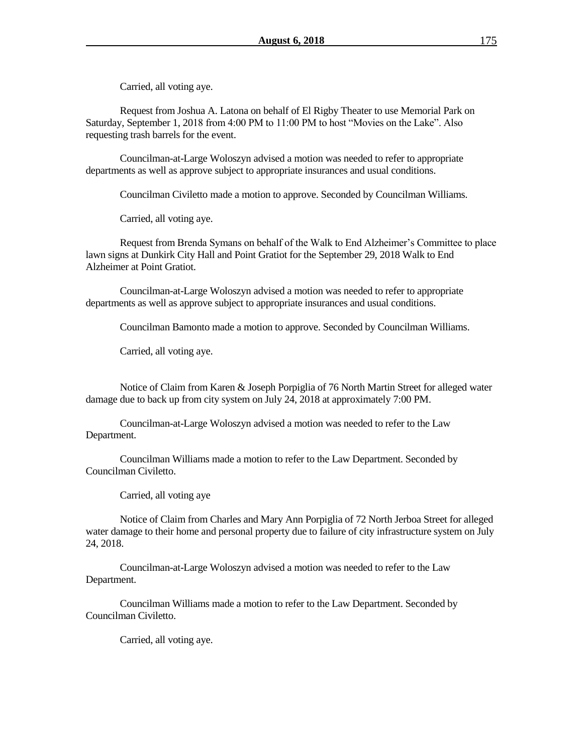Carried, all voting aye.

Request from Joshua A. Latona on behalf of El Rigby Theater to use Memorial Park on Saturday, September 1, 2018 from 4:00 PM to 11:00 PM to host "Movies on the Lake". Also requesting trash barrels for the event.

Councilman-at-Large Woloszyn advised a motion was needed to refer to appropriate departments as well as approve subject to appropriate insurances and usual conditions.

Councilman Civiletto made a motion to approve. Seconded by Councilman Williams.

Carried, all voting aye.

Request from Brenda Symans on behalf of the Walk to End Alzheimer's Committee to place lawn signs at Dunkirk City Hall and Point Gratiot for the September 29, 2018 Walk to End Alzheimer at Point Gratiot.

Councilman-at-Large Woloszyn advised a motion was needed to refer to appropriate departments as well as approve subject to appropriate insurances and usual conditions.

Councilman Bamonto made a motion to approve. Seconded by Councilman Williams.

Carried, all voting aye.

Notice of Claim from Karen & Joseph Porpiglia of 76 North Martin Street for alleged water damage due to back up from city system on July 24, 2018 at approximately 7:00 PM.

Councilman-at-Large Woloszyn advised a motion was needed to refer to the Law Department.

Councilman Williams made a motion to refer to the Law Department. Seconded by Councilman Civiletto.

Carried, all voting aye

Notice of Claim from Charles and Mary Ann Porpiglia of 72 North Jerboa Street for alleged water damage to their home and personal property due to failure of city infrastructure system on July 24, 2018.

Councilman-at-Large Woloszyn advised a motion was needed to refer to the Law Department.

Councilman Williams made a motion to refer to the Law Department. Seconded by Councilman Civiletto.

Carried, all voting aye.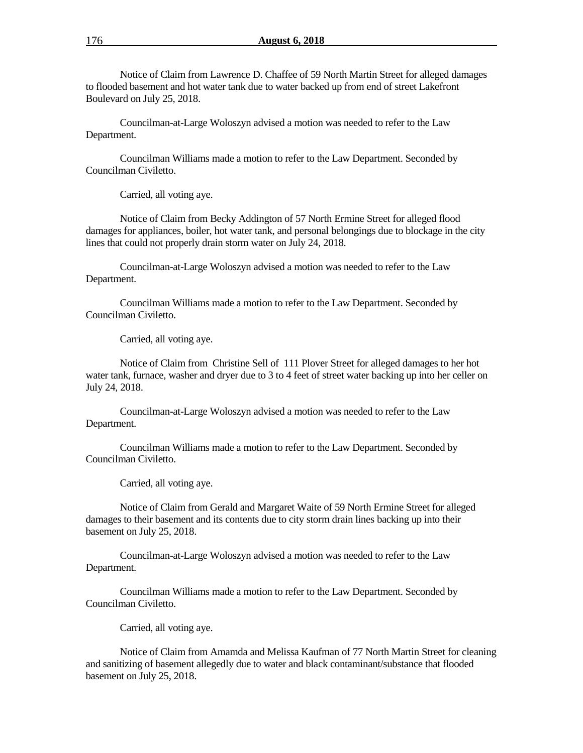Notice of Claim from Lawrence D. Chaffee of 59 North Martin Street for alleged damages to flooded basement and hot water tank due to water backed up from end of street Lakefront Boulevard on July 25, 2018.

Councilman-at-Large Woloszyn advised a motion was needed to refer to the Law Department.

Councilman Williams made a motion to refer to the Law Department. Seconded by Councilman Civiletto.

Carried, all voting aye.

Notice of Claim from Becky Addington of 57 North Ermine Street for alleged flood damages for appliances, boiler, hot water tank, and personal belongings due to blockage in the city lines that could not properly drain storm water on July 24, 2018.

Councilman-at-Large Woloszyn advised a motion was needed to refer to the Law Department.

Councilman Williams made a motion to refer to the Law Department. Seconded by Councilman Civiletto.

Carried, all voting aye.

Notice of Claim from Christine Sell of 111 Plover Street for alleged damages to her hot water tank, furnace, washer and dryer due to 3 to 4 feet of street water backing up into her celler on July 24, 2018.

Councilman-at-Large Woloszyn advised a motion was needed to refer to the Law Department.

Councilman Williams made a motion to refer to the Law Department. Seconded by Councilman Civiletto.

Carried, all voting aye.

Notice of Claim from Gerald and Margaret Waite of 59 North Ermine Street for alleged damages to their basement and its contents due to city storm drain lines backing up into their basement on July 25, 2018.

Councilman-at-Large Woloszyn advised a motion was needed to refer to the Law Department.

Councilman Williams made a motion to refer to the Law Department. Seconded by Councilman Civiletto.

Carried, all voting aye.

Notice of Claim from Amamda and Melissa Kaufman of 77 North Martin Street for cleaning and sanitizing of basement allegedly due to water and black contaminant/substance that flooded basement on July 25, 2018.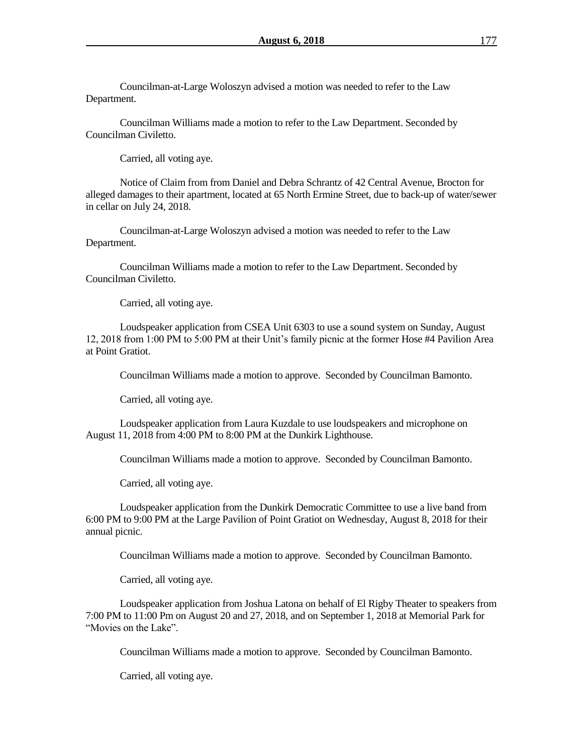Councilman-at-Large Woloszyn advised a motion was needed to refer to the Law Department.

Councilman Williams made a motion to refer to the Law Department. Seconded by Councilman Civiletto.

Carried, all voting aye.

Notice of Claim from from Daniel and Debra Schrantz of 42 Central Avenue, Brocton for alleged damages to their apartment, located at 65 North Ermine Street, due to back-up of water/sewer in cellar on July 24, 2018.

Councilman-at-Large Woloszyn advised a motion was needed to refer to the Law Department.

Councilman Williams made a motion to refer to the Law Department. Seconded by Councilman Civiletto.

Carried, all voting aye.

Loudspeaker application from CSEA Unit 6303 to use a sound system on Sunday, August 12, 2018 from 1:00 PM to 5:00 PM at their Unit's family picnic at the former Hose #4 Pavilion Area at Point Gratiot.

Councilman Williams made a motion to approve. Seconded by Councilman Bamonto.

Carried, all voting aye.

Loudspeaker application from Laura Kuzdale to use loudspeakers and microphone on August 11, 2018 from 4:00 PM to 8:00 PM at the Dunkirk Lighthouse.

Councilman Williams made a motion to approve. Seconded by Councilman Bamonto.

Carried, all voting aye.

Loudspeaker application from the Dunkirk Democratic Committee to use a live band from 6:00 PM to 9:00 PM at the Large Pavilion of Point Gratiot on Wednesday, August 8, 2018 for their annual picnic.

Councilman Williams made a motion to approve. Seconded by Councilman Bamonto.

Carried, all voting aye.

Loudspeaker application from Joshua Latona on behalf of El Rigby Theater to speakers from 7:00 PM to 11:00 Pm on August 20 and 27, 2018, and on September 1, 2018 at Memorial Park for "Movies on the Lake".

Councilman Williams made a motion to approve. Seconded by Councilman Bamonto.

Carried, all voting aye.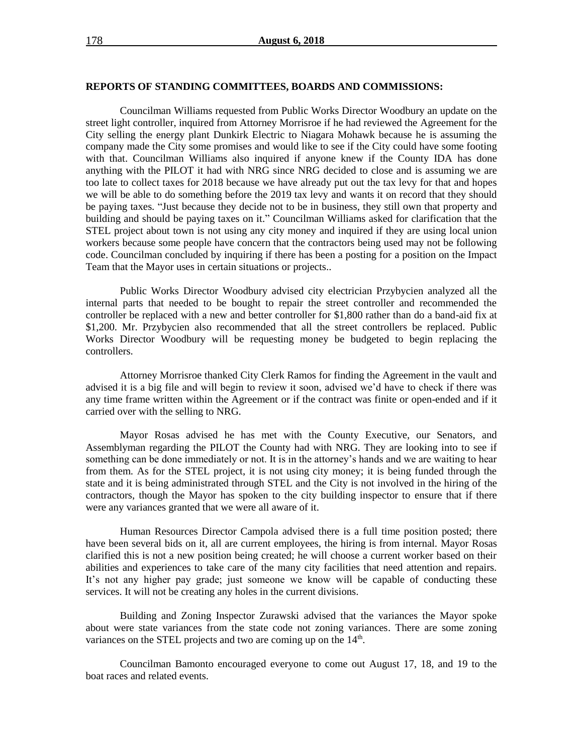#### **REPORTS OF STANDING COMMITTEES, BOARDS AND COMMISSIONS:**

Councilman Williams requested from Public Works Director Woodbury an update on the street light controller, inquired from Attorney Morrisroe if he had reviewed the Agreement for the City selling the energy plant Dunkirk Electric to Niagara Mohawk because he is assuming the company made the City some promises and would like to see if the City could have some footing with that. Councilman Williams also inquired if anyone knew if the County IDA has done anything with the PILOT it had with NRG since NRG decided to close and is assuming we are too late to collect taxes for 2018 because we have already put out the tax levy for that and hopes we will be able to do something before the 2019 tax levy and wants it on record that they should be paying taxes. "Just because they decide not to be in business, they still own that property and building and should be paying taxes on it." Councilman Williams asked for clarification that the STEL project about town is not using any city money and inquired if they are using local union workers because some people have concern that the contractors being used may not be following code. Councilman concluded by inquiring if there has been a posting for a position on the Impact Team that the Mayor uses in certain situations or projects..

Public Works Director Woodbury advised city electrician Przybycien analyzed all the internal parts that needed to be bought to repair the street controller and recommended the controller be replaced with a new and better controller for \$1,800 rather than do a band-aid fix at \$1,200. Mr. Przybycien also recommended that all the street controllers be replaced. Public Works Director Woodbury will be requesting money be budgeted to begin replacing the controllers.

Attorney Morrisroe thanked City Clerk Ramos for finding the Agreement in the vault and advised it is a big file and will begin to review it soon, advised we'd have to check if there was any time frame written within the Agreement or if the contract was finite or open-ended and if it carried over with the selling to NRG.

Mayor Rosas advised he has met with the County Executive, our Senators, and Assemblyman regarding the PILOT the County had with NRG. They are looking into to see if something can be done immediately or not. It is in the attorney's hands and we are waiting to hear from them. As for the STEL project, it is not using city money; it is being funded through the state and it is being administrated through STEL and the City is not involved in the hiring of the contractors, though the Mayor has spoken to the city building inspector to ensure that if there were any variances granted that we were all aware of it.

Human Resources Director Campola advised there is a full time position posted; there have been several bids on it, all are current employees, the hiring is from internal. Mayor Rosas clarified this is not a new position being created; he will choose a current worker based on their abilities and experiences to take care of the many city facilities that need attention and repairs. It's not any higher pay grade; just someone we know will be capable of conducting these services. It will not be creating any holes in the current divisions.

Building and Zoning Inspector Zurawski advised that the variances the Mayor spoke about were state variances from the state code not zoning variances. There are some zoning variances on the STEL projects and two are coming up on the 14<sup>th</sup>.

Councilman Bamonto encouraged everyone to come out August 17, 18, and 19 to the boat races and related events.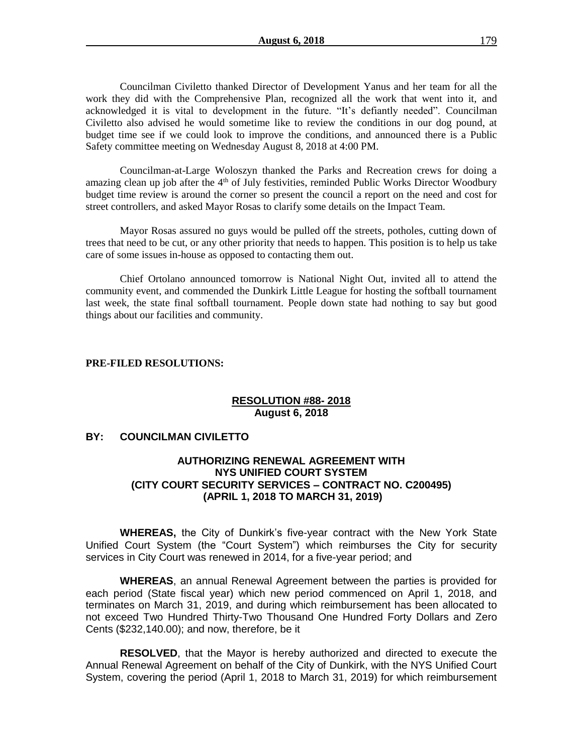Councilman Civiletto thanked Director of Development Yanus and her team for all the work they did with the Comprehensive Plan, recognized all the work that went into it, and acknowledged it is vital to development in the future. "It's defiantly needed". Councilman Civiletto also advised he would sometime like to review the conditions in our dog pound, at budget time see if we could look to improve the conditions, and announced there is a Public Safety committee meeting on Wednesday August 8, 2018 at 4:00 PM.

Councilman-at-Large Woloszyn thanked the Parks and Recreation crews for doing a amazing clean up job after the  $4<sup>th</sup>$  of July festivities, reminded Public Works Director Woodbury budget time review is around the corner so present the council a report on the need and cost for street controllers, and asked Mayor Rosas to clarify some details on the Impact Team.

Mayor Rosas assured no guys would be pulled off the streets, potholes, cutting down of trees that need to be cut, or any other priority that needs to happen. This position is to help us take care of some issues in-house as opposed to contacting them out.

Chief Ortolano announced tomorrow is National Night Out, invited all to attend the community event, and commended the Dunkirk Little League for hosting the softball tournament last week, the state final softball tournament. People down state had nothing to say but good things about our facilities and community.

#### **PRE-FILED RESOLUTIONS:**

## **RESOLUTION #88- 2018 August 6, 2018**

# **BY: COUNCILMAN CIVILETTO**

# **AUTHORIZING RENEWAL AGREEMENT WITH NYS UNIFIED COURT SYSTEM (CITY COURT SECURITY SERVICES – CONTRACT NO. C200495) (APRIL 1, 2018 TO MARCH 31, 2019)**

**WHEREAS,** the City of Dunkirk's five-year contract with the New York State Unified Court System (the "Court System") which reimburses the City for security services in City Court was renewed in 2014, for a five-year period; and

**WHEREAS**, an annual Renewal Agreement between the parties is provided for each period (State fiscal year) which new period commenced on April 1, 2018, and terminates on March 31, 2019, and during which reimbursement has been allocated to not exceed Two Hundred Thirty-Two Thousand One Hundred Forty Dollars and Zero Cents (\$232,140.00); and now, therefore, be it

**RESOLVED**, that the Mayor is hereby authorized and directed to execute the Annual Renewal Agreement on behalf of the City of Dunkirk, with the NYS Unified Court System, covering the period (April 1, 2018 to March 31, 2019) for which reimbursement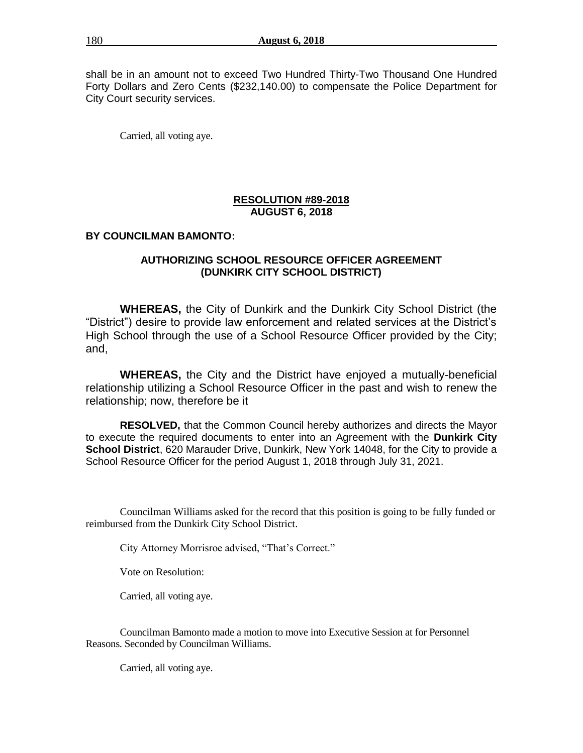shall be in an amount not to exceed Two Hundred Thirty-Two Thousand One Hundred Forty Dollars and Zero Cents (\$232,140.00) to compensate the Police Department for City Court security services.

Carried, all voting aye.

# **RESOLUTION #89-2018 AUGUST 6, 2018**

# **BY COUNCILMAN BAMONTO:**

# **AUTHORIZING SCHOOL RESOURCE OFFICER AGREEMENT (DUNKIRK CITY SCHOOL DISTRICT)**

**WHEREAS,** the City of Dunkirk and the Dunkirk City School District (the "District") desire to provide law enforcement and related services at the District's High School through the use of a School Resource Officer provided by the City; and,

**WHEREAS,** the City and the District have enjoyed a mutually-beneficial relationship utilizing a School Resource Officer in the past and wish to renew the relationship; now, therefore be it

**RESOLVED,** that the Common Council hereby authorizes and directs the Mayor to execute the required documents to enter into an Agreement with the **Dunkirk City School District**, 620 Marauder Drive, Dunkirk, New York 14048, for the City to provide a School Resource Officer for the period August 1, 2018 through July 31, 2021.

Councilman Williams asked for the record that this position is going to be fully funded or reimbursed from the Dunkirk City School District.

City Attorney Morrisroe advised, "That's Correct."

Vote on Resolution:

Carried, all voting aye.

Councilman Bamonto made a motion to move into Executive Session at for Personnel Reasons. Seconded by Councilman Williams.

Carried, all voting aye.